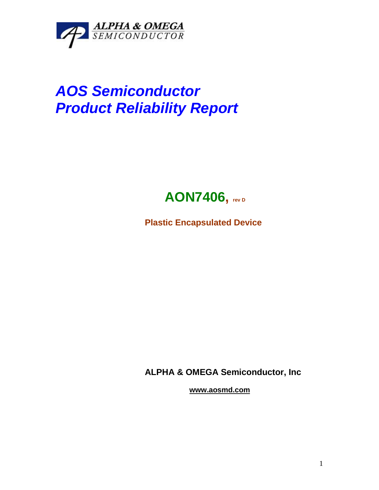

# *AOS Semiconductor Product Reliability Report*



**Plastic Encapsulated Device**

**ALPHA & OMEGA Semiconductor, Inc**

**www.aosmd.com**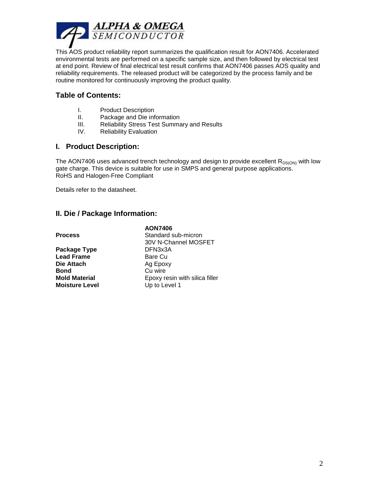

This AOS product reliability report summarizes the qualification result for AON7406. Accelerated environmental tests are performed on a specific sample size, and then followed by electrical test at end point. Review of final electrical test result confirms that AON7406 passes AOS quality and reliability requirements. The released product will be categorized by the process family and be routine monitored for continuously improving the product quality.

## **Table of Contents:**

- I. Product Description
- II. Package and Die information
- III. Reliability Stress Test Summary and Results
- IV. Reliability Evaluation

### **I. Product Description:**

The AON7406 uses advanced trench technology and design to provide excellent  $R_{DS(ON)}$  with low gate charge. This device is suitable for use in SMPS and general purpose applications. RoHS and Halogen-Free Compliant

Details refer to the datasheet.

### **II. Die / Package Information:**

#### **AON7406**

Package Type **DFN3x3A Lead Frame** Bare Cu<br> **Die Attach** Bare Cu **Die Attach** Ag Epoxy<br> **Bond** Ag Cu wire **Moisture Level Up to Level 1** 

**Process** Standard sub-micron 30V N-Channel MOSFET **Bond** Cu wire **Mold Material** Epoxy resin with silica filler